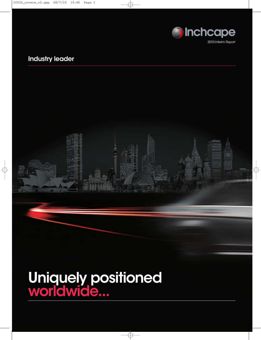

### **Industry leader**



# **Uniquely positioned worldwide...**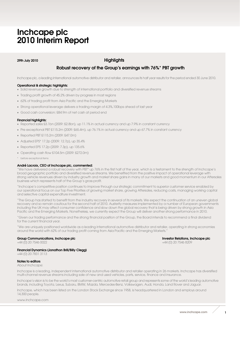### Inchcape plc 2010 Interim Report

#### 29th July 2010 **Highlights**

### Robust recovery of the Group's earnings with 76%\* PBT growth

Inchcape plc, a leading international automotive distributor and retailer, announces its half year results for the period ended 30 June 2010.

#### Operational & strategic highlights:

- Solid revenue growth due to strength of international portfolio and diversified revenue streams
- Trading profit growth of 45.2% driven by progress in most regions
- 62% of trading profit from Asia Pacific and the Emerging Markets
- Strong operational leverage delivers a trading margin of 4.3%,100bps ahead of last year
- Good cash conversion: £84.9m of net cash at period end

#### Financial highlights:

- Reported sales £3.1bn (2009: £2.8bn), up 11.1% in actual currency and up 7.9% in constant currency
- Pre exceptional PBT £115.2m (2009: £65.4m), up 76.1% in actual currency and up 67.7% in constant currency
- Reported PBT £115.2m (2009: £47.0m)
- Adjusted EPS\* 17.2p (2009: 12.7p), up 35.4%
- Reported EPS 17.2p (2009: 7.3p), up 135.6%
- Operating cash flow £104.5m (2009: £272.0m)
- \* before exceptional items

#### André Lacroix, CEO of Inchcape plc, commented:

"We have delivered a robust recovery with PBT\* up 76% in the first half of the year, which is a testament to the strength of Inchcape's broad geographic portfolio and diversified revenue streams. We benefited from the positive impact of operational leverage with strong vehicle revenues driven by industry growth and market share gains in many of our markets and good momentum in our Aftersales business which represents half of the Group's gross profit.

"Inchcape's competitive position continues to improve through our strategic commitment to superior customer service enabled by our operational focus on our Top Five Priorities of growing market share, growing Aftersales, reducing costs, managing working capital and selective capital expenditure investment.

"The Group has started to benefit from the industry recovery in several of its markets. We expect the continuation of an uneven global recovery and so remain cautious for the second half of 2010. Austerity measures implemented by a number of European governments including the UK may affect consumer confidence and slow down the global recovery that is being driven by strong growth in Asia Pacific and the Emerging Markets. Nonetheless, we currently expect the Group will deliver another strong performance in 2010.

"Given our trading performance and the strong financial position of the Group, the Board intends to recommend a final dividend for the current financial year.

"We are uniquely positioned worldwide as a leading international automotive distributor and retailer, operating in strong economies around the world with 62% of our trading profit coming from Asia Pacific and the Emerging Markets."

Group Communications, Inchcape plc<br>
+44 (0) 20 7546 0022<br>
+44 (0) 20 7546 8209 +44 (0) 20 7546 8209

Financial Dynamics (Jonathon Brill/Billy Clegg) +44 (0) 20 7831 3113

#### Notes to editors

About Inchcape:

Inchcape is a leading, independent international automotive distributor and retailer operating in 26 markets. Inchcape has diversified multi-channel revenue streams including sale of new and used vehicles, parts, service, finance and insurance.

Inchcape's vision is to be the world's most customer-centric automotive retail group and represents some of the world's leading automotive brands, including Toyota, Lexus, Subaru, BMW, Mazda, Mercedes-Benz, Volkswagen, Audi, Honda, Land Rover and Jaguar.

Inchcape, which has been listed on the London Stock Exchange since 1958, is headquartered in London and employs around 14,300 people.

www.inchcape.com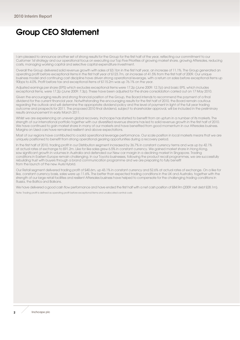### Group CEO Statement

I am pleased to announce another set of strong results for the Group for the first half of the year, reflecting our commitment to our Customer 1st strategy and our operational focus on executing our Top Five Priorities of growing market share, growing Aftersales, reducing costs, managing working capital and selective capital expenditure investment.

Overall the Group delivered solid revenue growth with sales of £3.1bn in the first half year, an increase of 11.1%. The Group generated an operating profit before exceptional items in the first half year of £123.7m, an increase of 41.5% from the first half of 2009. Our unique business model and continuing cost discipline have driven strong operational leverage, with a return on sales before exceptional items up 90bps to 4.0%. Profit before tax and exceptional items of £115.2m was up 76.1% on the year.

Adjusted earnings per share (EPS) which excludes exceptional items were 17.2p (June 2009: 12.7p) and basic EPS, which includes exceptional items, were 17.2p (June 2009: 7.3p). These have been adjusted for the share consolidation carried out on 17 May 2010.

Given the encouraging results and strong financial position of the Group, the Board intends to recommend the payment of a final dividend for the current financial year. Notwithstanding the encouraging results for the first half of 2010, the Board remain cautious regarding the outlook and will determine the appropriate dividend policy and the level of payment in light of the full year trading outcome and prospects for 2011. The proposed 2010 final dividend, subject to shareholder approval, will be included in the preliminary results announcement in early March 2011.

Whilst we are experiencing an uneven global recovery, Inchcape has started to benefit from an upturn in a number of its markets. The strength of our international portfolio together with our diversified revenue streams has led to solid revenue growth in the first half of 2010. We have continued to gain market share in many of our markets and have benefited from good momentum in our Aftersales business. Margins on Used cars have remained resilient and above expectations.

Most of our regions have contributed to a solid operational leverage performance. Our scale position in local markets means that we are uniquely positioned to benefit from strong operational gearing opportunities during a recovery period.

In the first half of 2010, trading profit in our Distribution segment increased by 36.7% in constant currency terms and was up by 42.1% at actual rates of exchange to £91.2m. Like for like sales grew 6.5% in constant currency. We gained market share in Hong Kong, saw significant growth in volumes in Australia and defended our New car margin in a declining market in Singapore. Trading conditions in Eastern Europe remain challenging. In our Toyota businesses, following the product recall programmes, we are successfully rebuilding trust with buyers through a brand communication programme and we are preparing to fully benefit from the launch of the new Auris Hybrid.

Our Retail segment delivered trading profit of £40.6m, up 43.1% in constant currency and 52.6% at actual rates of exchange. On a like for like, constant currency basis, sales were up 11.6%. The better than expected trading conditions in the UK and Australia, together with the strength of our large retail facilities and resilient Aftersales business have helped to compensate for the challenging trading conditions in Russia, the Baltics and Balkans.

We have delivered a good cash flow performance and have ended the first half with a net cash position of £84.9m (2009: net debt £28.1m).

Note: Trading profit is defined as operating profit before exceptional items and unallocated central costs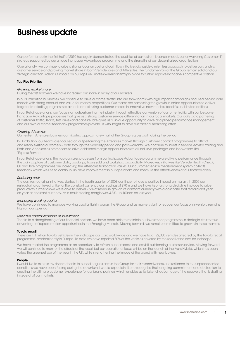### Business update

Our performance in the first half of 2010 has again demonstrated the qualities of our resilient business model, our unwavering Customer 1st strategy supported by our unique Inchcape Advantage programme and the strengths of our decentralised organisation.

Operationally, we continue to drive a strong focus on cost and cash flow initiatives alongside a relentless approach to deliver outstanding customer service and growing market share in both Vehicle sales and Aftersales. The fundamentals of the Group remain solid and our strategic direction is clear. Our focus on our Top Five Priorities will remain firmly in place to further improve Inchcape's competitive position.

#### Top Five Priorities

#### Growing market share

During the first half year we have increased our share in many of our markets.

In our Distribution businesses, we continue to drive customer traffic into our showrooms with high impact campaigns, focused behind core models with strong product and value-for-money propositions. Our teams are harnessing the growth in online opportunities to deliver targeted marketing programmes aimed at maximising customer interest in innovative new models, facelifts and limited editions.

In our Retail operations, our focus is on outperforming the industry through effective conversion of customer traffic with our bespoke Inchcape Advantage processes that give us a strong customer service differentiation in our local markets. Our daily data gathering of customer traffic, leads, test drives and capture rate gives us a unique opportunity to drive disciplined performance management and our own customer feedback programmes provide us with insight to drive our tactical marketing offers.

#### Growing Aftersales

Our resilient Aftersales business contributed approximately half of the Group's gross profit during the period.

In Distribution, our teams are focused on outperforming the Aftersales market through customer contact programmes to attract and retain existing customers – both through the warranty period and post-warranty. We continue to invest in Service Advisor training and Parts and Accessories promotions to drive additional margin opportunities with all-inclusive packages and innovations like 'Express Service'.

In our Retail operations, the rigorous sales processes from our Inchcape Advantage programme are driving performance through the daily capture of customer data, bookings, hours sold and workshop productivity. Moreover, initiatives like Vehicle Health Check, Oil and Tyre programmes are increasing the Aftersales transaction values. Our customer service measurement system collects feedback which we use to continuously drive improvement in our operations and measure the effectiveness of our tactical offers.

#### Reducing costs

The cost restructuring initiatives, started in the fourth quarter of 2008 continue to have a positive impact on margin. In 2009 our restructuring achieved a like for like constant currency cost savings of £70m and we have kept a strong discipline in place to drive productivity further as we were able to deliver 7.9% of revenue growth at constant currency with a cost base that remains flat year on year at constant currency. As a result, trading margin was 4.3%, up 100bps on last year.

#### Managing working capital

We have continued to manage working capital tightly across the Group and as markets start to recover our focus on inventory remains high on our agenda.

#### Selective capital expenditure investment

Thanks to a strengthening of our financial position, we have been able to maintain our investment programme in strategic sites to take advantage of representation opportunities in the Emerging Markets. Moving forward, we remain committed to growth in these markets.

#### Toyota recall

There are 1.1 million Toyota vehicles in the Inchcape car parc world-wide and we have had 122,000 vehicles affected by the Toyota recall programme, predominantly in Europe. To date we have repaired 80% of the vehicles covered by the recall at no cost for Inchcape.

We have treated the programme as an opportunity to refresh our database and exhibit outstanding customer service. Moving forward, we will continue to monitor the effects of the recall but our operational focus will be on the launch of the Auris Hybrid, which has been voted the greenest car of the year in the UK, while strengthening the image of the brand with new buyers.

#### People

I would like to express my sincere thanks to our colleagues across the Group for their responsiveness and resilience to the unprecedented conditions we have been facing during the downturn. I would especially like to recognise their ongoing commitment and dedication to creating the ultimate customer experience for our brand partners which enables us to take full advantage of the recovery that is starting in several of our markets.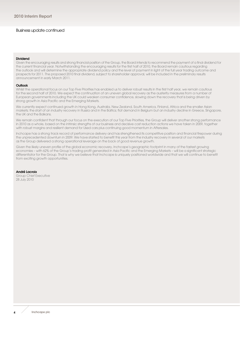#### Business update continued

#### Dividend

Given the encouraging results and strong financial position of the Group, the Board intends to recommend the payment of a final dividend for the current financial year. Notwithstanding the encouraging results for the first half of 2010, the Board remain cautious regarding the outlook and will determine the appropriate dividend policy and the level of payment in light of the full year trading outcome and prospects for 2011. The proposed 2010 final dividend, subject to shareholder approval, will be included in the preliminary results announcement in early March 2011.

#### **Outlook**

Whilst the operational focus on our Top Five Priorities has enabled us to deliver robust results in the first half year, we remain cautious for the second half of 2010. We expect the continuation of an uneven global recovery as the austerity measures from a number of European governments including the UK could weaken consumer confidence, slowing down the recovery that is being driven by strong growth in Asia Pacific and the Emerging Markets.

We currently expect continued growth in Hong Kong, Australia, New Zealand, South America, Finland, Africa and the smaller Asian markets; the start of an industry recovery in Russia and in the Baltics; flat demand in Belgium but an industry decline in Greece, Singapore, the UK and the Balkans.

We remain confident that through our focus on the execution of our Top Five Priorities, the Group will deliver another strong performance in 2010 as a whole, based on the intrinsic strengths of our business and decisive cost reduction actions we have taken in 2009, together with robust margins and resilient demand for Used cars plus continuing good momentum in Aftersales.

Inchcape has a strong track record of performance delivery and has strengthened its competitive position and financial firepower during the unprecedented downturn in 2009. We have started to benefit this year from the industry recovery in several of our markets as the Group delivered a strong operational leverage on the back of good revenue growth.

Given the likely uneven profile of the global economic recovery, Inchcape's geographic footprint in many of the fastest growing economies – with 62% of the Group's trading profit generated in Asia Pacific and the Emerging Markets – will be a significant strategic differentiator for the Group. That is why we believe that Inchcape is uniquely positioned worldwide and that we will continue to benefit from exciting growth opportunities.

#### André Lacroix

Group Chief Executive 28 July 2010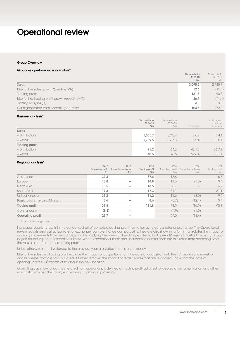### Operational review

#### Group Overview

#### Group key performance indicators\*

|                                                   | Six months to<br>30.06.10 | Six months to<br>30.06.09 |
|---------------------------------------------------|---------------------------|---------------------------|
|                                                   | $\mathsf{Sm}$             | -Sm                       |
| Sales                                             | 3.095.2                   | 2,785.7                   |
| Like for like sales growth/(decline) (%)          | 12.6                      | (15.4)                    |
| Trading profit                                    | 131.8                     | 90.8                      |
| Like for like trading profit growth/(decline) (%) | 36.7                      | (41.4)                    |
| Trading margins (%)                               | 4.3                       | 3.3                       |
| Cash generated from operating activities          | 104.5                     | 272.0                     |

#### Business analysis\*

| . .                   | Six months to<br>30.06.10<br>$\mathsf{Sm}$ | Six months to<br>30.06.09<br>Sm | % change | % change in<br>constant<br>currency |
|-----------------------|--------------------------------------------|---------------------------------|----------|-------------------------------------|
| <b>Sales</b>          |                                            |                                 |          |                                     |
| – Distribution        | 1,355.7                                    | 1,248.4                         | 8.6%     | 5.4%                                |
| - Retail              | 1,739.5                                    | 1,537.3                         | 13.2%    | 10.0%                               |
| <b>Trading profit</b> |                                            |                                 |          |                                     |
| - Distribution        | 91.2                                       | 64.2                            | 42.1%    | 36.7%                               |
| - Retail              | 40.6                                       | 26.6                            | 52.6%    | 43.1%                               |

#### Regional analysis\*

|                                    | 2010<br>Operating profit<br>$\mathsf{Sm}$ | 2010<br><b>Exceptional items</b><br>$\mathsf{Sm}$ | 2010<br><b>Trading profit</b><br>$\mathsf{Sm}$ | 2009<br>Operating profit<br>£m | 2009<br>Exceptional items<br>£m | 2009<br>Trading profit<br>Sm |
|------------------------------------|-------------------------------------------|---------------------------------------------------|------------------------------------------------|--------------------------------|---------------------------------|------------------------------|
| Australasia                        | 37.4                                      | $\sim$                                            | 37.4                                           | 16.6                           | $\qquad \qquad -$               | 16.6                         |
| Europe                             | 18.8                                      | $\overline{\phantom{a}}$                          | 18.8                                           | 11.6                           | (1.8)                           | 13.4                         |
| North Asia                         | 18.5                                      | $\overline{\phantom{a}}$                          | 18.5                                           | 6.7                            |                                 | 6.7                          |
| South Asia                         | 17.3                                      | $\overline{\phantom{a}}$                          | 17.3                                           | 31.1                           | $\qquad \qquad -$               | 31.1                         |
| United Kingdom                     | 31.2                                      | $\overline{\phantom{a}}$                          | 31.2                                           | 16.6                           | (3.0)                           | 19.6                         |
| <b>Russia and Emerging Markets</b> | 8.6                                       | $\overline{\phantom{a}}$                          | 8.6                                            | (8.7)                          | (12.1)                          | 3.4                          |
| <b>Trading profit</b>              | 131.8                                     | $\overline{\phantom{a}}$                          | 131.8                                          | 73.9                           | (16.9)                          | 90.8                         |
| Central costs                      | (8.1)                                     | $\overline{\phantom{a}}$                          |                                                | (4.9)                          | (1.5)                           |                              |
| <b>Operating profit</b>            | 123.7                                     | $\hspace{0.5cm}$                                  |                                                | 69.0                           | (18.4)                          |                              |

\* At actual exchange rates

Inchcape reports its results in the condensed set of consolidated financial information using actual rates of exchange. The Operational review reports results at actual rates of exchange, but to enhance comparability, they are also shown in a form that isolates the impact of currency movements from period to period by applying the June 2010 exchange rates to both periods' results (constant currency). It also adjusts for the impact of exceptional items. Where exceptional items and unallocated central costs are excluded from operating profit the results are referred to as trading profit.

Unless otherwise stated variances to the previous year are stated in constant currency.

Like for like sales and trading profit exclude the impact of acquisitions from the date of acquisition until the 13<sup>th</sup> month of ownership, and businesses that are sold or closed. It further removes the impact of retail centres that are relocated. This is from the date of opening until the 13<sup>th</sup> month of trading in the new location.

Operating cash flow, or cash generated from operations, is defined as trading profit adjusted for depreciation, amortisation and other non cash items plus the change in working capital and provisions.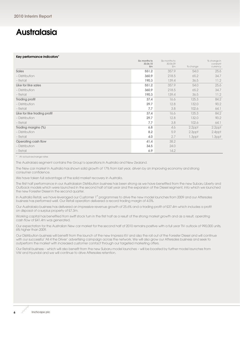### **Australasia**

#### Key performance indicators<sup>\*</sup>

|                              | Six months to<br>30.06.10 | Six months to<br>30.06.09 |          | % change in<br>constant |
|------------------------------|---------------------------|---------------------------|----------|-------------------------|
|                              | Sm                        | £m                        | % change | currency                |
| <b>Sales</b>                 | 551.2                     | 357.9                     | 54.0     | 25.6                    |
| - Distribution               | 360.9                     | 218.5                     | 65.2     | 34.7                    |
| - Retail                     | 190.3                     | 139.4                     | 36.5     | 11.2                    |
| Like for like sales          | 551.2                     | 357.9                     | 54.0     | 25.6                    |
| - Distribution               | 360.9                     | 218.5                     | 65.2     | 34.7                    |
| - Retail                     | 190.3                     | 139.4                     | 36.5     | 11.2                    |
| <b>Trading profit</b>        | 37.4                      | 16.6                      | 125.3    | 84.2                    |
| - Distribution               | 29.7                      | 12.8                      | 132.0    | 90.2                    |
| - Retail                     | 7.7                       | 3.8                       | 102.6    | 64.1                    |
| Like for like trading profit | 37.4                      | 16.6                      | 125.3    | 84.2                    |
| - Distribution               | 29.7                      | 12.8                      | 132.0    | 90.2                    |
| - Retail                     | 7.7                       | 3.8                       | 102.6    | 64.1                    |
| Trading margins (%)          | 6.8                       | 4.6                       | 2.2ppt   | 2.2ppt                  |
| - Distribution               | 8.2                       | 5.9                       | 2.3ppt   | 2.4ppt                  |
| - Retail                     | 4.0                       | 2.7                       | 1.3ppt   | 1.3ppt                  |
| Operating cash flow          | 41.4                      | 38.2                      |          |                         |
| - Distribution               | 34.5                      | 24.0                      |          |                         |
| - Retail                     | 6.9                       | 14.2                      |          |                         |

\* At actual exchange rates

The Australasia segment contains the Group's operations in Australia and New Zealand.

The New car market in Australia has shown solid growth of 17% from last year, driven by an improving economy and strong consumer confidence.

We have taken full advantage of the solid market recovery in Australia.

The first half performance in our Australasian Distribution business has been strong as we have benefited from the new Subaru Liberty and Outback models which were launched in the second half of last year and the expansion of the Diesel segment, into which we launched the new Forester Diesel in the second quarter.

In Australia Retail, we have leveraged our Customer 1st programmes to drive the new model launches from 2009 and our Aftersales business has performed well. Our Retail operation delivered a record trading margin of 4.0%.

Our Australasia business has delivered an impressive revenue growth of 25.6% and a trading profit of £37.4m which includes a profit on disposal of a surplus property of £7.3m.

Working capital has benefited from swift stock turn in the first half as a result of the strong market growth and as a result, operating cash flow of £41.4m was generated.

Our expectation for the Australian New car market for the second half of 2010 remains positive with a full year TIV outlook of 990,000 units, 6% higher than 2009.

Our Distribution business will benefit from the launch of the new Impreza XV and also the roll out of the Forester Diesel and will continue with our successful 'All 4 the Driver' advertising campaign across the network. We will also grow our Aftersales business and seek to outperform the market with increased customer contact through our targeted marketing offers.

Our Retail business – which will also benefit from the new Subaru model launches – will be boosted by further model launches from VW and Hyundai and we will continue to drive Aftersales retention.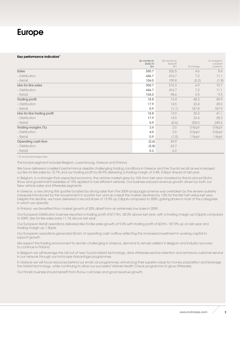### Europe

#### Key performance indicators\*

|                              | Six months to<br>30.06.10<br>£m | Six months to<br>30.06.09<br>£m | % change | % change in<br>constant<br>currency |
|------------------------------|---------------------------------|---------------------------------|----------|-------------------------------------|
| <b>Sales</b>                 | 550.7                           | 526.5                           | 4.6      | 8.4                                 |
| - Distribution               | 446.7                           | 416.7                           | 7.2      | 11.1                                |
| - Retail                     | 104.0                           | 109.8                           | (5.3)    | (1.8)                               |
| Like for like sales          | 550.7                           | 515.3                           | 6.9      | 10.7                                |
| - Distribution               | 446.7                           | 416.7                           | 7.2      | 11.1                                |
| - Retail                     | 104.0                           | 98.6                            | 5.5      | 9.3                                 |
| <b>Trading profit</b>        | 18.8                            | 13.4                            | 40.3     | 45.9                                |
| - Distribution               | 17.9                            | 14.5                            | 23.4     | 28.3                                |
| - Retail                     | 0.9                             | (1.1)                           | 181.8    | 187.9                               |
| Like for like trading profit | 18.8                            | 13.9                            | 35.3     | 41.1                                |
| - Distribution               | 17.9                            | 14.5                            | 23.4     | 28.3                                |
| - Retail                     | 0.9                             | (0.6)                           | 250.0    | 249.6                               |
| Trading margins (%)          | 3.4                             | 2.5                             | 0.9ppt   | 0.9ppt                              |
| - Distribution               | 4.0                             | 3.5                             | 0.5ppt   | 0.5ppt                              |
| - Retail                     | 0.9                             | (1.0)                           | 1.9ppt   | 1.9ppt                              |
| Operating cash flow          | (2.6)                           | 69.9                            |          |                                     |
| - Distribution               | (2.8)                           | 63.7                            |          |                                     |
| - Retail                     | 0.2                             | 6.2                             |          |                                     |

\* At actual exchange rates

The Europe segment includes Belgium, Luxembourg, Greece and Finland.

We have delivered a resilient performance despite challenging trading conditions in Greece and the Toyota recall as we increased our like for like sales by 10.7% and our trading profit by 45.9% delivering a trading margin of 3.4%, 0.9ppt ahead of last year.

In Belgium, in a stronger than expected economy, the vehicle market grew by 16% from last year, boosted by the bi-annual Motor Show and government subsidies of 15% applied to fuel efficient vehicles. Our business enjoyed revenue growth driven by both our New vehicle sales and Aftersales segments.

In Greece, a very strong first quarter boosted by strong sales from the 2009 scrappage scheme was overtaken by the severe austerity measures introduced by the Government in quarter two and as a result the market declined by 13% for the first half versus last year. Despite this decline, we have delivered a record share of 13.9% up 2.8ppts compared to 2009, gaining share in most of the categories in which we operate.

In Finland, we benefited from market growth of 20% albeit from an extremely low base in 2009.

Our European Distribution business reported a trading profit of £17.9m, 28.3% above last year, with a trading margin up 0.5ppts compared to 2009. Like for like sales were 11.1% above last year.

Our European Retail operations delivered like for like sales growth of 9.3% with trading profit of £0.9m, 187.9% up on last year and trading margin up 1.9ppts.

Our European operations generated £2.6m of operating cash outflow reflecting the increased investment in working capital to support growth.

We expect the trading environment to remain challenging in Greece, demand to remain resilient in Belgium and industry recovery to continue in Finland.

In Belgium we will leverage the roll out of new Toyota Hybrid technology, drive Aftersales service retention and enhance customer service in our network through our Inchcape Advantage programmes.

In Greece we will focus resources behind our small car programmes, enhancing their superior value for money proposition and leverage the Hybrid technology, while continuing to drive our successful Vehicle Health Check programme to grow Aftersales.

Our Finnish business should benefit from its low cost base and good revenue growth.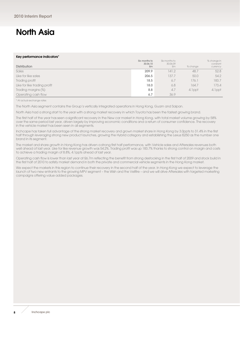### North Asia

#### Key performance indicators\*

| <b>Distribution</b>          | Six months to<br>30.06.10<br>$\mathsf{Sm}$ | Six months to<br>30.06.09<br>Sm | % change | % change in<br>constant<br>currency |
|------------------------------|--------------------------------------------|---------------------------------|----------|-------------------------------------|
| Sales                        | 209.9                                      | 141.2                           | 48.7     | 52.8                                |
| Like for like sales          | 206.5                                      | 137.7                           | 50,0     | 54.2                                |
| Trading profit               | 18.5                                       | 6.7                             | 176.1    | 183.7                               |
| Like for like trading profit | 18.0                                       | 6,8                             | 164.7    | 173.4                               |
| Trading margins (%)          | 8.8                                        | 4,7                             | 4.1ppt   | 4.1ppt                              |
| Operating cash flow          | 6.7                                        | 36.9                            |          |                                     |

\* At actual exchange rates

The North Asia segment contains the Group's vertically integrated operations in Hong Kong, Guam and Saipan.

North Asia had a strong start to the year with a strong market recovery in which Toyota has been the fastest growing brand.

The first half of the year has seen a significant recovery in the New car market in Hong Kong, with total market volume growing by 58% over the same period last year, driven largely by improving economic conditions and a return of consumer confidence. The recovery in the vehicle market has been seen in all segments.

Inchcape has taken full advantage of the strong market recovery and grown market share in Hong Kong by 3.0ppts to 31.4% in the first half through leveraging strong new product launches, growing the Hybrid category and establishing the Lexus IS250 as the number one brand in its segment.

The market and share growth in Hong Kong has driven a strong first half performance, with Vehicle sales and Aftersales revenues both well ahead of last year. Like for like revenue growth was 54.2%. Trading profit was up 183.7% thanks to strong control on margin and costs to achieve a trading margin of 8.8%, 4.1ppts ahead of last year.

Operating cash flow is lower than last year at £6.7m reflecting the benefit from strong destocking in the first half of 2009 and stock build in the first half of 2010 to satisfy market demand in both the private and commercial vehicle segments in the Hong Kong market.

We expect the markets in this region to continue their recovery in the second half of the year. In Hong Kong we expect to leverage the launch of two new entrants to the growing MPV segment – the Wish and the Vellfire – and we will drive Aftersales with targeted marketing campaigns offering value added packages.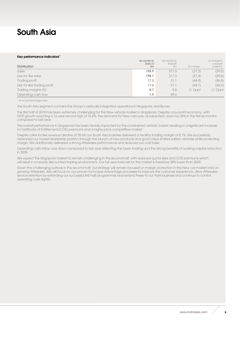### South Asia

#### Key performance indicators\*

| <b>Distribution</b>          | Six months to<br>30.06.10<br>$\mathfrak{m}$ | Six months to<br>30.06.09<br>Sm | % change    | % change in<br>constant<br>currency |
|------------------------------|---------------------------------------------|---------------------------------|-------------|-------------------------------------|
| Sales                        | 198.9                                       | 317.3                           | (37.3)      | (39.6)                              |
| Like for like sales          | 198.7                                       | 317.3                           | (37.4)      | (39.6)                              |
| Trading profit               | 17.3                                        | 31.1                            | (44.4)      | (46.6)                              |
| Like for like trading profit | 17.2                                        | 31.1                            | (44.7)      | (46.9)                              |
| Trading margins (%)          | 8.7                                         | 9.8                             | $(1.1)$ ppt | $(1.1)$ ppt                         |
| Operating cash flow          | 1.9                                         | 49.6                            |             |                                     |

\* At actual exchange rates

The South Asia segment contains the Group's vertically integrated operations in Singapore and Brunei.

The first half of 2010 has been extremely challenging for the New vehicle market in Singapore. Despite a buoyant economy, with GDP growth reaching a 16 year record high of 15.5%, the demand for New cars was, as expected, down by 33% in the first six months compared to last year.

The overall performance in Singapore has been heavily impacted by the constrained vehicle market resulting in a significant increase in Certificate of Entitlement (COE) premiums and a highly price competitive market.

Despite a like for like revenue decline of 39.6% our South Asia business delivered a healthy trading margin of 8.7%. We successfully defended our market leadership position through the launch of new products and good value limited edition vehicles while protecting margin. We additionally delivered a strong Aftersales performance and reduced our cost base.

Operating cash inflow was down compared to last year reflecting the lower trading and the strong benefits of working capital reduction  $in$  2009.

We expect the Singapore market to remain challenging in the second half, with reduced quota sizes and COE premiums which will result in a heavily discounted trading environment. Our full year forecast for the market is therefore 38% lower than 2009.

Given the challenging outlook in the second half, our strategy will remain focused on margin protection in the New car market and on growing Aftersales. We will focus on our proven Inchcape Advantage processes to improve the customer experience, drive Aftersales service retention by extending our successful first half programmes and extend these to our Parts business and continue to control operating costs tightly.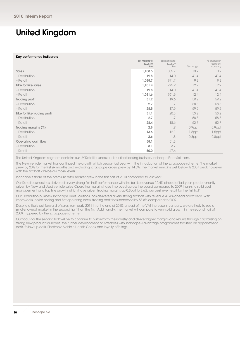### United Kingdom

#### Key performance indicators

|                              | Six months to<br>30.06.10 | Six months to<br>30.06.09 |          | % change in<br>constant |
|------------------------------|---------------------------|---------------------------|----------|-------------------------|
|                              | Sm                        | £m                        | % change | currency                |
| <b>Sales</b>                 | 1,108.5                   | 1,005.7                   | 10.2     | 10.2 <sub>1</sub>       |
| - Distribution               | 19.8                      | 14.0                      | 41.4     | 41.4                    |
| - Retail                     | 1,088.7                   | 991.7                     | 9.8      | 9.8                     |
| Like for like sales          | 1,101.4                   | 975.9                     | 12.9     | 12.9                    |
| - Distribution               | 19.8                      | 14.0                      | 41.4     | 41.4                    |
| - Retail                     | 1,081.6                   | 961.9                     | 12.4     | 12.4                    |
| <b>Trading profit</b>        | 31.2                      | 19.6                      | 59.2     | 59.2                    |
| - Distribution               | 2.7                       | 1.7                       | 58.8     | 58.8                    |
| - Retail                     | 28.5                      | 17.9                      | 59.2     | 59.2                    |
| Like for like trading profit | 31.1                      | 20.3                      | 53.2     | 53.2                    |
| - Distribution               | 2.7                       | 1.7                       | 58.8     | 58.8                    |
| - Retail                     | 28.4                      | 18.6                      | 52.7     | 52.7                    |
| Trading margins (%)          | 2.8                       | 1.9                       | 0.9ppt   | 0.9ppt                  |
| - Distribution               | 13.6                      | 12.1                      | 1.5ppt   | 1.5ppt                  |
| - Retail                     | 2.6                       | 1.8                       | 0.8ppt   | 0.8ppt                  |
| Operating cash flow          | 58.1                      | 51.3                      |          |                         |
| - Distribution               | 8.1                       | 3.7                       |          |                         |
| - Retail                     | 50.0                      | 47.6                      |          |                         |

The United Kingdom segment contains our UK Retail business and our fleet leasing business, Inchcape Fleet Solutions.

The New vehicle market has continued the growth which began last year with the introduction of the scrappage scheme. The market grew by 20% for the first six months and excluding scrappage orders grew by 14.5%. The market remains well below its 2007 peak however, with the first half 21% below those levels.

Inchcape's share of the premium retail market grew in the first half of 2010 compared to last year.

Our Retail business has delivered a very strong first half performance with like for like revenue 12.4% ahead of last year, predominantly driven by New and Used vehicle sales. Operating margins have improved across the board compared to 2009 thanks to solid cost management and top line growth which have driven trading margins up 0.8ppt to 2.6%, our best ever result for the first half.

Our Distribution business, Inchcape Fleet Solutions, has delivered a very strong first half with revenue 41.4% ahead of last year. With improved supplier pricing and flat operating costs, trading profit has increased by 58.8% compared to 2009.

Despite a likely pull forward of sales from early 2011 into the end of 2010, ahead of the VAT increase in January, we are likely to see a smaller overall market in the second half than the first. Additionally, the market will compare to very solid growth in the second half of 2009, triggered by the scrappage scheme.

Our focus for the second half will be to continue to outperform the industry and deliver higher margins and returns through capitalising on strong new product launches, the further development of Aftersales with Inchcape Advantage programmes focused on appointment desk, follow-up calls, Electronic Vehicle Health Check and loyalty offerings.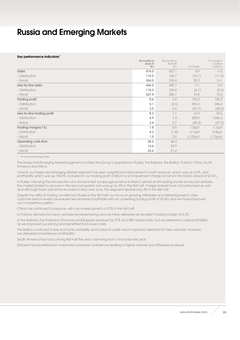### Russia and Emerging Markets

#### Key performance indicators\*

|                              | Six months to<br>30.06.10<br>£m | Six months to<br>30.06.09<br>£m | % change    | % change in<br>constant<br>currency |
|------------------------------|---------------------------------|---------------------------------|-------------|-------------------------------------|
| <b>Sales</b>                 | 476.0                           | 437.1                           | 8.9         | 6.2                                 |
| - Distribution               | 119.5                           | 140.7                           | (15.1)      | (11.9)                              |
| - Retail                     | 356.5                           | 296.4                           | 20.3        | 14.1                                |
| Like for like sales          | 446.2                           | 409.1                           | 9.1         | 6.3                                 |
| - Distribution               | 118.3                           | 126.0                           | (6.1)       | (2.6)                               |
| - Retail                     | 327.9                           | 283.1                           | 15.8        | 10.0                                |
| <b>Trading profit</b>        | 8.6                             | 3.4                             | 152.9       | 156.9                               |
| - Distribution               | 5.1                             | (2.6)                           | 296.2       | 246.4                               |
| - Retail                     | 3.5                             | 6.0                             | (41.7)      | (48.5)                              |
| Like for like trading profit | 8.3                             | 7.1                             | 16.9        | 20.6                                |
| - Distribution               | 4.9                             | 1.4                             | 250.0       | 1,046.2                             |
| - Retail                     | 3.4                             | 5.7                             | (40.4)      | (47.3)                              |
| Trading margins (%)          | 1.8                             | 0.8                             | 1.0ppt      | 1.1ppt                              |
| - Distribution               | 4.3                             | (1.8)                           | 6.1ppt      | 6.8ppt                              |
| - Retail                     | 1.0                             | 2.0                             | $(1.0)$ ppt | $(1.2)$ ppt                         |
| Operating cash flow          | 38.2                            | 46.3                            |             |                                     |
| - Distribution               | 14.6                            | 24.9                            |             |                                     |
| - Retail                     | 23.6                            | 21.4                            |             |                                     |

\* At actual exchange rates

The Russia and Emerging Markets segment contains the Group's operations in Russia, the Balkans, the Baltics, Poland, China, South America and Africa.

Overall, our Russia and Emerging Market segment has seen a significant improvement in both revenue, which was up 6.2%, and profitability which was up 156.9%. Included in our trading profit of £8.6m is an impairment charge for land in Romania valued at £7.5m.

In Russia, following the introduction of a Government scrappage scheme in March aimed at stimulating locally produced vehicles, the market started to recover in the second quarter and was up by 3% in the first half. Foreign brands have not performed as well and although there was some recovery in May and June, the segment declined by 4% in the first half.

Despite the difficult trading conditions in Russia in the first half, our focus on growing Aftersales and delivering best in class customer service levels has ensured we remained profitable with an underlying trading profit of £5.4m and we have improved our competitive position.

China has continued to improve, with car market growth of 47% in the first half.

In Poland, demand for luxury vehicles remained strong and we have delivered an excellent trading margin of 4.2%.

In the Balkans, the markets in Romania and Bulgaria declined by 27% and 38% respectively, but we delivered a solid profitability as we improved our pricing and benefited from lower costs.

The Baltics continued to see economic instability and a lack of credit which impacted demand for New vehicles. However, we delivered a breakeven profitability.

South America has had a strong first half this year, improving from a low base last year.

Ethiopia has benefited from improved consumer confidence resulting in higher Vehicle and Aftersales revenues.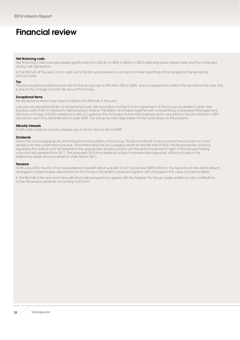### Financial review

#### Net financing costs

Net financing costs have decreased significantly from £22.4m in 2009 to £8.5m in 2010 reflecting lower interest rates and the continued strong cash generation.

In the first half of the year, a non cash cost of £2.5m was booked in our mark to market reporting of the hedges for the remaining US loan notes.

#### **Tax**

The pre exceptional effective tax rate for the Group rose to 29% from 28% in 2009, which is expected to reflect the full rate for the year. This is due to the change of profit mix around the Group.

#### Exceptional items

No exceptional items have been booked in the first half of this year.

Last year we reported £18.4m of exceptional costs. We recorded a further £10.3m impairment of the Group's business in Latvia. We booked costs of £5.1m related to restructuring in Finland, the Baltics and Russia together with a streamlining of European Management. We took a charge of £3.0m related to a site occupied by the Inchcape Automotive business which was sold to Camden Motors in 2007 and which went into administration in early 2009. The Group remains responsible for the head lease on this property.

#### Minority interests

Profits attributable to minority interests rose to £3.0m from £1.8m in 2009.

#### Dividends

Given the encouraging results and strong financial position of the Group, the Board intends to recommend the payment of a final dividend for the current financial year. Notwithstanding the encouraging results for the first half of 2010, the Board remain cautious regarding the outlook and will determine the appropriate dividend policy and the level of payment in light of the full year trading outcome and prospects for 2011. The proposed 2010 final dividend, subject to shareholder approval, will be included in the preliminary results announcement in early March 2011.

#### Pensions

At 30 June 2010, the IAS 19 net post-retirement benefit deficit was £49.1m (31 December 2009: £74.8m). The reduction in the deficit reflects changes to market-based assumptions for the Group's UK pension schemes together with changes in the value of scheme assets.

In the first half of the year and in line with the funding programme agreed with the Trustees, the Group made additional cash contributions to the UK pension schemes amounting to £16.9m.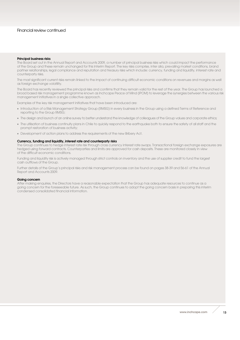#### Financial review continued

#### Principal business risks

The Board set out in the Annual Report and Accounts 2009, a number of principal business risks which could impact the performance of the Group and these remain unchanged for this Interim Report. The key risks comprise, inter alia, prevailing market conditions, brand partner relationships, legal compliance and reputation and treasury risks which include: currency, funding and liquidity, interest rate and counterparty risks.

The most significant current risks remain linked to the impact of continuing difficult economic conditions on revenues and margins as well as foreign exchange volatility.

The Board has recently reviewed the principal risks and confirms that they remain valid for the rest of the year. The Group has launched a broad based risk management programme known as Inchcape Peace of Mind (iPOM) to leverage the synergies between the various risk management initiatives in a single collective approach.

Examples of the key risk management initiatives that have been introduced are:

- Introduction of a Risk Management Strategy Group (RMSG) in every business in the Group using a defined Terms of Reference and reporting to the Group RMSG;
- . The design and launch of an online survey to better understand the knowledge of collegaues of the Group values and corporate ethics;
- . The utilisation of business continuity plans in Chile to quickly respond to the earthquake both to ensure the safety of all staff and the prompt restoration of business activity;
- Development of action plans to address the requirements of the new Bribery Act.

#### Currency, funding and liquidity, interest rate and counterparty risks

The Group continues to hedge interest rate risk through cross currency interest rate swaps. Transactional foreign exchange exposures are hedged using forward contracts. Counterparties and limits are approved for cash deposits. These are monitored closely in view of the difficult economic conditions.

Funding and liquidity risk is actively managed through strict controls on inventory and the use of supplier credit to fund the largest cash outflows of the Group.

Further details of the Group's principal risks and risk management process can be found on pages 38-39 and 56-61 of the Annual Report and Accounts 2009.

#### Going concern

After making enquiries, the Directors have a reasonable expectation that the Group has adequate resources to continue as a going concern for the foreseeable future. As such, the Group continues to adopt the going concern basis in preparing this interim condensed consolidated financial information.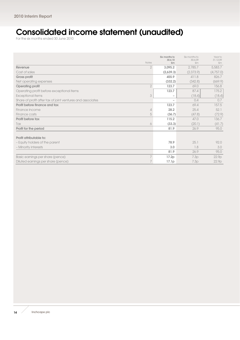### Consolidated income statement (unaudited)

For the six months ended 30 June 2010

|                                                            | Notes          | Six months to<br>30.6.10<br>Sm | Six months to<br>30.6.09<br>£m | Year to<br>31.12.09<br>£m |
|------------------------------------------------------------|----------------|--------------------------------|--------------------------------|---------------------------|
| Revenue                                                    | $\overline{2}$ | 3,095.2                        | 2,785.7                        | 5,583.7                   |
| Cost of sales                                              |                | (2,639.3)                      | (2,373.9)                      | (4,757.0)                 |
| Gross profit                                               |                | 455.9                          | 411.8                          | 826.7                     |
| Net operating expenses                                     |                | (332.2)                        | (342.8)                        | (669.9)                   |
| <b>Operating profit</b>                                    | $\overline{2}$ | 123.7                          | 69.0                           | 156.8                     |
| Operating profit before exceptional items                  |                | 123.7                          | 87.4                           | 175.2                     |
| Exceptional items                                          | 3              | $\overline{\phantom{a}}$       | (18.4)                         | (18.4)                    |
| Share of profit after tax of joint ventures and associates |                | $\overline{\phantom{a}}$       | 0.4                            | 0.7                       |
| Profit before finance and tax                              |                | 123.7                          | 69.4                           | 157.5                     |
| Finance income                                             | $\overline{4}$ | 28.2                           | 25.4                           | 52.1                      |
| Finance costs                                              | 5              | (36.7)                         | (47.8)                         | (72.9)                    |
| Profit before tax                                          |                | 115.2                          | 47.0                           | 136.7                     |
| Tax                                                        | 6              | (33.3)                         | (20.1)                         | (41.7)                    |
| Profit for the period                                      |                | 81.9                           | 26.9                           | 95.0                      |
| Profit attributable to:                                    |                |                                |                                |                           |
| - Equity holders of the parent                             |                | 78.9                           | 25.1                           | 92.0                      |
| - Minority interests                                       |                | 3.0                            | 1.8                            | 3.0                       |
|                                                            |                | 81.9                           | 26.9                           | 95.0                      |
| Basic earnings per share (pence)                           | 7              | 17.2p                          | 7.3p                           | 22.9p                     |
| Diluted earnings per share (pence)                         |                | 17.1p                          | 7.3p                           | 22.9p                     |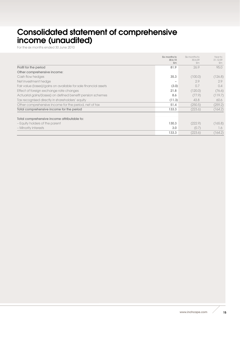### Consolidated statement of comprehensive income (unaudited)

For the six months ended 30 June 2010

|                                                                  | Six months to<br>30.6.10 | Six months to<br>30.6.09 | Year to<br>31.12.09 |
|------------------------------------------------------------------|--------------------------|--------------------------|---------------------|
|                                                                  | Sm                       | Sm                       | £m                  |
| Profit for the period                                            | 81.9                     | 26.9                     | 95.0                |
| Other comprehensive income:                                      |                          |                          |                     |
| Cash flow hedges                                                 | 35.3                     | (100.0)                  | (126.8)             |
| Net investment hedge                                             | -                        | 2.9                      | 2.9                 |
| Fair value (losses)/gains on available for sale financial assets | (3.0)                    | 0.7                      | 0.4                 |
| Effect of foreign exchange rate changes                          | 21.8                     | (120.0)                  | (76.6)              |
| Actuarial gains/(losses) on defined benefit pension schemes      | 8.6                      | (77.9)                   | (119.7)             |
| Tax recognised directly in shareholders' equity                  | (11.3)                   | 43.8                     | 60.6                |
| Other comprehensive income for the period, net of tax            | 51.4                     | (250.5)                  | (259.2)             |
| Total comprehensive income for the period                        | 133.3                    | (223.6)                  | (164.2)             |
| Total comprehensive income attributable to:                      |                          |                          |                     |
| - Equity holders of the parent                                   | 130.3                    | (222.9)                  | (165.8)             |
| - Minority interests                                             | 3.0                      | (0.7)                    | 1.6                 |
|                                                                  | 133.3                    | (223.6)                  | (164.2)             |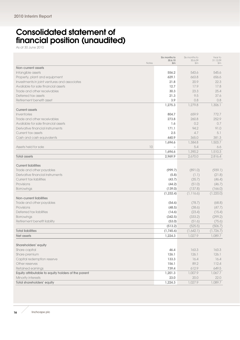### Consolidated statement of financial position (unaudited)

As at 30 June 2010

|                                                     | Six months to            | Six months to<br>30.6.09 | Year to        |
|-----------------------------------------------------|--------------------------|--------------------------|----------------|
| Notes                                               | 30.6.10<br>$\mathsf{Sm}$ | £m                       | 31.12.09<br>£m |
| Non-current assets                                  |                          |                          |                |
| Intangible assets                                   | 556.2                    | 543.6                    | 545.6          |
| Property, plant and equipment                       | 629.1                    | 663.8                    | 656.6          |
| Investments in joint ventures and associates        | 21.8                     | 20.9                     | 22.3           |
| Available for sale financial assets                 | 12.7                     | 17.9                     | 17.8           |
| Trade and other receivables                         | 30.3                     | 23.3                     | 25.4           |
| Deferred tax assets                                 | 21.3                     | 9.5                      | 37.6           |
| Retirement benefit asset                            | 3.9                      | 0.8                      | 0,8            |
|                                                     | 1,275.3                  | 1,279.8                  | 1,306.1        |
| <b>Current assets</b>                               |                          |                          |                |
| Inventories                                         | 804.7                    | 659.9                    | 772.7          |
| Trade and other receivables                         | 273.8                    | 260.8                    | 252.9          |
| Available for sale financial assets                 | 1.6                      | 0.2                      | 0.7            |
| Derivative financial instruments                    | 171.1                    | 94.2                     | 91.0           |
| Current tax assets                                  | 2.5                      | 4.7                      | 5.1            |
| Cash and cash equivalents                           | 440.9                    | 365.0                    | 381.3          |
|                                                     | 1,694.6                  | 1,384.8                  | 1,503.7        |
| 10<br>Assets held for sale                          |                          | 5.4                      | 6.6            |
|                                                     | 1,694.6                  | 1,390.2                  | 1,510.3        |
| <b>Total assets</b>                                 | 2,969.9                  | 2,670.0                  | 2,816.4        |
| <b>Current liabilities</b>                          |                          |                          |                |
| Trade and other payables                            | (999.7)                  | (891.0)                  | (939.1)        |
| Derivative financial instruments                    | (5.8)                    | (1.1)                    | (21.8)         |
| Current tax liabilities                             | (43.7)                   | (35.7)                   | (46.4)         |
| Provisions                                          | (44.2)                   | (51.0)                   | (46.7)         |
| Borrowings                                          | (139.0)                  | (137.8)                  | (166.0)        |
|                                                     | (1, 232.4)               | (1, 116.6)               | (1,220.0)      |
| <b>Non-current liabilities</b>                      |                          |                          |                |
| Trade and other payables                            | (54.6)                   | (78.7)                   | (68.8)         |
| Provisions                                          | (48.5)                   | (38.6)                   | (47.7)         |
| Deferred tax liabilities                            | (14.6)                   | (23.4)                   | (15.4)         |
| Borrowings                                          | (342.5)                  | (333.2)                  | (299.2)        |
| Retirement benefit liability                        | (53.0)                   | (51.6)                   | (75.6)         |
|                                                     | (513.2)                  | (525.5)                  | (506.7)        |
| <b>Total liabilities</b>                            | (1,745.6)                | (1,642.1)                | (1, 726.7)     |
| Net assets                                          | 1,224.3                  | 1,027.9                  | 1,089.7        |
| <b>Shareholders' equity</b>                         |                          |                          |                |
| Share capital                                       | 46.4                     | 163.3                    | 163.3          |
| Share premium                                       | 126.1                    | 126.1                    | 126.1          |
| Capital redemption reserve                          | 133.3                    | 16.4                     | 16.4           |
| Other reserves                                      | 156.1                    | 89.2                     | 112.4          |
| Retained earnings                                   | 739.4                    | 612.9                    | 649.5          |
| Equity attributable to equity holders of the parent | 1,201.3                  | 1,007.9                  | 1,067.7        |
| Minority interests                                  | 23.0                     | 20.0                     | 22.0           |
| <b>Total shareholders' equity</b>                   | 1,224.3                  | 1,027.9                  | 1,089.7        |

 $16$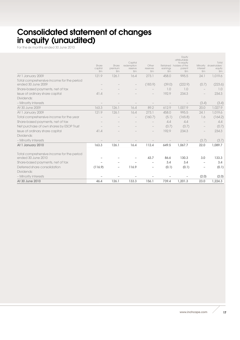### Consolidated statement of changes in equity (unaudited)

For the six months ended 30 June 2010

|                                                                 | Share<br>capital<br><b>Sm</b> | Share<br>premium<br>£m | Capital<br>redemption<br>reserve<br><b>Sm</b> | Other<br>reserves<br>£m  | earnings<br>Sm | Equity<br>attributable<br>to equity<br>Retained holders of the<br>parent<br>Sm | interest<br>£m | Total<br>Minority shareholders'<br>equity<br>Sm |
|-----------------------------------------------------------------|-------------------------------|------------------------|-----------------------------------------------|--------------------------|----------------|--------------------------------------------------------------------------------|----------------|-------------------------------------------------|
| At 1 January 2009                                               | 121.9                         | 126.1                  | 16.4                                          | 273.1                    | 458.0          | 995.5                                                                          | 24.1           | 1,019.6                                         |
| Total comprehensive income for the period<br>ended 30 June 2009 |                               |                        |                                               | (183.9)                  | (39.0)         | (222.9)                                                                        | (0.7)          | (223.6)                                         |
| Share-based payments, net of tax                                |                               |                        |                                               |                          | 1.0            | 1.0                                                                            |                | 1.0                                             |
| Issue of ordinary share capital                                 | 41.4                          |                        |                                               |                          | 192.9          | 234.3                                                                          |                | 234.3                                           |
| Dividends:                                                      |                               |                        |                                               |                          |                |                                                                                |                |                                                 |
| - Minority interests                                            |                               |                        |                                               |                          |                |                                                                                | (3.4)          | (3.4)                                           |
| At 30 June 2009                                                 | 163.3                         | 126.1                  | 16.4                                          | 89.2                     | 612.9          | 1,007.9                                                                        | 20.0           | 1,027.9                                         |
| At 1 January 2009                                               | 121.9                         | 126.1                  | 16.4                                          | 273.1                    | 458,0          | 995.5                                                                          | 24.1           | 1,019.6                                         |
| Total comprehensive income for the year                         |                               |                        | $\qquad \qquad -$                             | (160.7)                  | (5.1)          | (165.8)                                                                        | 1.6            | (164.2)                                         |
| Share-based payments, net of tax                                |                               |                        |                                               |                          | 4.4            | 4,4                                                                            |                | 4.4                                             |
| Net purchase of own shares by ESOP Trust                        |                               |                        |                                               |                          | (0.7)          | (0.7)                                                                          |                | (0.7)                                           |
| Issue of ordinary share capital                                 | 41.4                          |                        |                                               |                          | 192.9          | 234.3                                                                          |                | 234.3                                           |
| Dividends:                                                      |                               |                        |                                               |                          |                |                                                                                |                |                                                 |
| - Minority interests                                            |                               |                        |                                               |                          |                |                                                                                | (3.7)          | (3.7)                                           |
| At 1 January 2010                                               | 163.3                         | 126.1                  | 16.4                                          | 112.4                    | 649.5          | 1,067.7                                                                        | 22.0           | 1,089.7                                         |
| Total comprehensive income for the period<br>ended 30 June 2010 |                               |                        |                                               | 43.7                     | 86.6           | 130.3                                                                          | 3.0            | 133.3                                           |
| Share-based payments, net of tax                                |                               |                        |                                               |                          | 3.4            | 3.4                                                                            |                | 3.4                                             |
| Deferred share consolidation                                    | (116.9)                       |                        | 116.9                                         | $\overline{\phantom{0}}$ | (0.1)          | (0.1)                                                                          |                | (0.1)                                           |
| Dividends:                                                      |                               |                        |                                               |                          |                |                                                                                |                |                                                 |
| - Minority interests                                            |                               |                        |                                               |                          |                |                                                                                | (2.0)          | (2.0)                                           |
| At 30 June 2010                                                 | 46.4                          | 126.1                  | 133.3                                         | 156.1                    | 739.4          | 1,201.3                                                                        | 23.0           | 1,224.3                                         |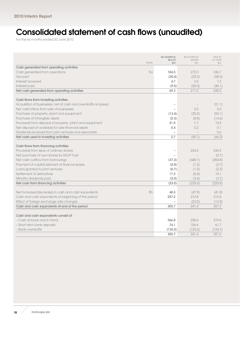## Consolidated statement of cash flows (unaudited)

For the six months ended 30 June 2010

| Notes                                                                  | Six months to<br>30.6.10<br>$\mathfrak{m}$ | Six months to<br>30.6.09<br>£m | Year to<br>31.12.09<br>£m |
|------------------------------------------------------------------------|--------------------------------------------|--------------------------------|---------------------------|
| Cash generated from operating activities                               |                                            |                                |                           |
| 9a<br>Cash generated from operations                                   | 104.5                                      | 272.0                          | 336.7                     |
| Tax paid                                                               | (30.4)                                     | (28.3)                         | (58.5)                    |
| Interest received                                                      | 4.7                                        | 3.5                            | 7.2                       |
| Interest paid                                                          | (9.5)                                      | (30.0)                         | (40.1)                    |
| Net cash generated from operating activities                           | 69.3                                       | 217.2                          | 245.3                     |
|                                                                        |                                            |                                |                           |
| Cash flows from investing activities                                   |                                            |                                |                           |
| Acquisition of businesses, net of cash and overdrafts acquired         |                                            |                                | (21.1)                    |
| Net cash inflow from sale of businesses                                |                                            | 2.0                            | 3.0                       |
| Purchase of property, plant and equipment                              | (13.4)                                     | (35.2)                         | (50.1)                    |
| Purchase of intangible assets                                          | (5.3)                                      | (8.8)                          | (14.6)                    |
| Proceeds from disposal of property, plant and equipment                | 21.0                                       | 1.7                            | 15.8                      |
| Net disposal of available for sale financial assets                    | 0.4                                        | 0.2                            | 0.1                       |
| Dividends received from joint ventures and associates                  |                                            |                                | 0.6                       |
| Net cash used in investing activities                                  | 2.7                                        | (40.1)                         | (66.3)                    |
| Cash flows from financing activities                                   |                                            |                                |                           |
| Proceeds from issue of ordinary shares                                 |                                            | 234.3                          | 234.3                     |
| Net purchase of own shares by ESOP Trust                               | $\overline{\phantom{0}}$                   |                                | (0.7)                     |
| Net cash outflow from borrowings                                       | (37.2)                                     | (448.1)                        | (454.8)                   |
| Payment of capital element of finance leases                           | (0.8)                                      | (1.2)                          | (3.7)                     |
| Loans granted to joint ventures                                        | (0.7)                                      | (1.2)                          | (2.3)                     |
| Settlement of derivatives                                              | 17.2                                       | (5.4)                          | 10.1                      |
| Minority dividends paid                                                | (2.0)                                      | (3.4)                          | (3.7)                     |
| Net cash from financing activities                                     | (23.5)                                     | (225.0)                        | (220.8)                   |
|                                                                        |                                            |                                |                           |
| 9 <sub>b</sub><br>Net increase/(decrease) in cash and cash equivalents | 48.5                                       | (47.9)                         | (41.8)                    |
| Cash and cash equivalents at beginning of the period                   | 257.2                                      | 312.8                          | 312.8                     |
| Effect of foreign exchange rate changes                                |                                            | (23.5)                         | (13.8)                    |
| Cash and cash equivalents at end of the period                         | 305.7                                      | 241.4                          | 257.2                     |
|                                                                        |                                            |                                |                           |
| Cash and cash equivalents consist of:                                  |                                            |                                |                           |
| - Cash at bank and in hand                                             | 366.8                                      | 258.4                          | 319.6                     |
| - Short term bank deposits                                             | 74.1                                       | 106.6                          | 61.7                      |
| - Bank overdrafts                                                      | (135.2)                                    | (123.6)                        | (124.1)                   |
|                                                                        | 305.7                                      | 241.4                          | 257.2                     |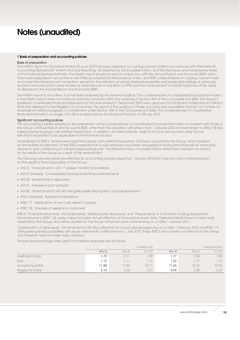### Notes (unaudited)

#### 1 Basis of preparation and accounting policies

#### Basis of preparation

The interim report for the period ended 30 June 2010 has been prepared on a going concern basis in accordance with International Accounting Standard 34 'Interim Financial Reporting' as adopted by the European Union, and the Disclosure and Transparency Rules of the Financial Services Authority. The interim report should be read in conjunction with the Annual Report and Accounts 2009, which have been prepared in accordance with IFRSs as adopted by the European Union, and IFRIC interpretations on a going concern basis and under the historical cost convention, except for the retention of certain freehold properties and leasehold buildings at previously revalued amounts (which were treated as deemed cost on transition to IFRS) and the measurement of certain balances at fair value as disclosed in the Annual Report and Accounts 2009.

The interim report is unaudited, but has been reviewed by the external auditors. The condensed set of consolidated financial information in the interim report does not constitute statutory accounts within the meaning of Section 434 of the Companies Act 2006. The Group's published consolidated financial statements for the year ended 31 December 2009 were approved by the Board of Directors on 9 March 2010 and delivered to the Registrar of Companies. The report of the auditors on those accounts was unqualified and did not contain an emphasis of matter paragraph or a statement under Section 498 of the Companies Act 2006. The condensed set of consolidated financial information on pages 14 to 28 was approved by the Board of Directors on 28 July 2010

#### Significant accounting policies

The accounting policies adopted in the preparation of the condensed set of consolidated financial information is consistent with those of the Group's Annual Report and Accounts 2009, other than the adoption, with effect, from 1 January 2010 of Amendment to IFRS 2 'Sharebased payments group cash-settled transactions'. In addition, at interim periods, taxes on income are accrued using the tax rate that is expected to be applicable for the full financial year.

Amendment to IFRS 2 'Share-based payments group cash-settled transactions' has been adopted by the Group, which results in an immediate acceleration of the IFRS 2 expense that would otherwise have been recognised in future periods should an employee decide to stop contributing to a share-based savings plan. The Directors have concluded that to date there has been no impact on the results of the Group as a result of this amendment.

The following new standards are effective for accounting periods beginning 1 January 2010 but have not had a material impact on the results or financial position of the Group:

- IAS 17, 'Amendment to IAS 17 Leases: Transitional provisions'
- IAS 27 (revised), 'Consolidated and separate financial statements'
- IAS 28, 'Investments in associates'
- IAS 31, `Interests in joint ventures'
- IAS 38, 'Amendment to IAS 38 Intangible assets: Recognition and measurement'
- IFRS 3 (revised), 'Business combinations'
- IFRIC 17, 'Distributions of non-cash assets to owners'
- IFRIC 18, 'Transfers of assets from customers'.

IFRS 9, 'Financial instruments', IAS 24 (Revised), 'Related party disclosures' and 'Prepayments of a minimum funding requirement', (Amendments to IFRIC 14), were in issue but were not yet effective at the balance sheet date. These standards have not been early adopted by the Group, and will be applied for the Group's financial years commencing on or after 1 January 2011.

'Classification of rights issues', (Amendment to IAS 32) is effective for annual periods beginning on or after 1 February 2010 and IFRIC 19, 'Extinguishing financial liabilities with equity instruments' is effective from 1 July 2010. These IFRICs are currently not relevant to the Group and therefore have not been early adopted.

The principal exchange rates used for translation purposes are as follows:

|                   |         |         | Average rates |         |         | Period end rates |
|-------------------|---------|---------|---------------|---------|---------|------------------|
|                   | 30.6.10 | 30.6.09 | 31.12.09      | 30.6.10 | 30.6.09 | 31.12.09         |
| Australian dollar | 1.72    |         | .99           | 1.77    | 2.04    | .80              |
| Euro              | 1.15    |         | .12           | 1.22    |         | .13              |
| Hong Kong dollar  | 11.88   | 1.55    | 12.1          | 11.65   | 12.76   | 12.52            |
| Singapore dollar  | 2.14    | 2.22    | 2.27          | 2.09    | 2.38    | 2.27             |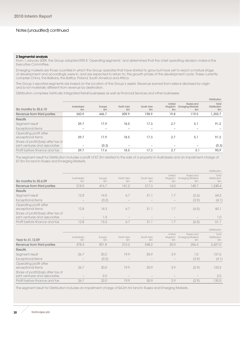#### 2 Segmental analysis

From 1 January 2009, the Group adopted IFRS 8 'Operating segments' and determined that the chief operating decision maker is the Executive Committee.

Emerging markets are those countries in which the Group operates that have started to grow but have yet to reach a mature stage of development and accordingly were in, and are expected to return to, the growth phase of the development cycle. These currently comprise China, the Balkans, the Baltics, Poland, South America and Africa.

The Group's reported segments are based on the location of the Group's assets. Revenue earned from sales is disclosed by origin and is not materially different from revenue by destination.

Distribution comprises Vertically Integrated Retail businesses as well as Financial Services and other businesses.

|                                                                      |                                 |              |                          |                             |                                    |                                                        | <b>Distribution</b>                           |
|----------------------------------------------------------------------|---------------------------------|--------------|--------------------------|-----------------------------|------------------------------------|--------------------------------------------------------|-----------------------------------------------|
| Six months to 30.6.10                                                | Australasia<br>Sm               | Europe<br>Sm | North Asia<br>Sm         | South Asia<br>$\mathsf{Sm}$ | United<br>Kingdom<br>$\mathsf{Sm}$ | Russia and<br><b>Emerging Markets</b><br>$\mathsf{Sm}$ | Total<br><b>Distribution</b><br>$\mathsf{Sm}$ |
| Revenue from third parties                                           | 360.9                           | 446.7        | 209.9                    | 198.9                       | 19.8                               | 119.5                                                  | 1,355.7                                       |
| <b>Results</b>                                                       |                                 |              |                          |                             |                                    |                                                        |                                               |
| Segment result                                                       | 29.7                            | 17.9         | 18.5                     | 17.3                        | 2.7                                | 5.1                                                    | 91.2                                          |
| Exceptional items                                                    | $\hspace{0.1mm}-\hspace{0.1mm}$ | $\sim$       | $\overline{\phantom{a}}$ | $\overline{\phantom{a}}$    | $\overline{\phantom{a}}$           |                                                        |                                               |
| Operating profit after<br>exceptional items                          | 29.7                            | 17.9         | 18.5                     | 17.3                        | 2.7                                | 5.1                                                    | 91.2                                          |
| Share of profit/(loss) after tax of<br>joint ventures and associates | $\overline{\phantom{a}}$        | (0.3)        | $\overline{\phantom{a}}$ | $\overline{\phantom{a}}$    | $\sim$                             |                                                        | (0.3)                                         |
| Profit before finance and tax                                        | 29.7                            | 17.6         | 18.5                     | 17.3                        | 2.7                                | 5.1                                                    | 90.9                                          |

The segment result for Distribution includes a profit of £7.3m related to the sale of a property in Australasia and an impairment charge of £7.5m for land in Russia and Emerging Markets.

|                                                                      |                          |              |                          |                  |                          |                                             | Distribution                       |
|----------------------------------------------------------------------|--------------------------|--------------|--------------------------|------------------|--------------------------|---------------------------------------------|------------------------------------|
| Six months to 30.6.09                                                | Australasia<br>£m        | Europe<br>£m | North Asia<br>Sm         | South Asia<br>£m | United<br>Kingdom<br>Sm  | Russia and<br><b>Emerging Markets</b><br>£m | Total<br><b>Distribution</b><br>£m |
| Revenue from third parties                                           | 218.5                    | 416.7        | 141.2                    | 317.3            | 14.0                     | 140.7                                       | 1,248.4                            |
| <b>Results</b>                                                       |                          |              |                          |                  |                          |                                             |                                    |
| Segment result                                                       | 12.8                     | 14.5         | 6.7                      | 31.1             | 1.7                      | (2.6)                                       | 64.2                               |
| <b>Exceptional items</b>                                             | $\qquad \qquad -$        | (0.2)        | $\overline{\phantom{a}}$ |                  | $\qquad \qquad -$        | (3.9)                                       | (4.1)                              |
| Operating profit after<br>exceptional items                          | 12.8                     | 14.3         | 6.7                      | 31.1             | 1.7                      | (6.5)                                       | 60.1                               |
| Share of profit/(loss) after tax of<br>joint ventures and associates | $\overline{\phantom{a}}$ | 1.0          | $\overline{\phantom{a}}$ |                  | $\overline{\phantom{a}}$ |                                             | 1.0                                |
| Profit before finance and tax                                        | 12.8                     | 15.3         | 6.7                      | 31.1             | 1.7                      | (6.5)                                       | 61.1                               |
|                                                                      |                          |              |                          |                  |                          |                                             | Distribution                       |
|                                                                      |                          |              |                          |                  | the contract of the con- | $\sim$ $\sim$ $\sim$                        | $T = 1 - 1$                        |

| Year to 31.12.09                                                     | Australasia<br>£m        | Europe<br>£m | North Asia<br>£m         | South Asia<br>£m         | United<br>Kingdom<br>-£m | Russia and<br><b>Emerging Markets</b><br>£m | Total<br>Distribution<br>Sm |
|----------------------------------------------------------------------|--------------------------|--------------|--------------------------|--------------------------|--------------------------|---------------------------------------------|-----------------------------|
| Revenue from third parties                                           | 478.4                    | 801.8        | 312.2                    | 548.2                    | 30,0                     | 256.4                                       | 2,427.0                     |
| <b>Results</b>                                                       |                          |              |                          |                          |                          |                                             |                             |
| Segment result                                                       | 26.7                     | 30.2         | 19.9                     | 55.9                     | 3.9                      | l .O                                        | 137.6                       |
| Exceptional items                                                    | $\qquad \qquad -$        | (0.2)        | $\overline{\phantom{a}}$ | $\overline{\phantom{a}}$ | $\sim$                   | (3.9)                                       | (4.1)                       |
| Operating profit after<br>exceptional items                          | 26.7                     | 30.0         | 19.9                     | 55.9                     | 3.9                      | (2.9)                                       | 133.5                       |
| Share of profit/(loss) after tax of<br>joint ventures and associates | $\overline{\phantom{a}}$ | 2.0          | $\overline{\phantom{a}}$ | $\overline{\phantom{a}}$ | $\sim$                   | $\overline{\phantom{a}}$                    | 2.0                         |
| Profit before finance and tax                                        | 26.7                     | 32.0         | 19.9                     | 55.9                     | 3.9                      | (2.9)                                       | 135.5                       |

The segment result for Distribution includes an impairment charge of £4.2m for land in Russia and Emerging Markets.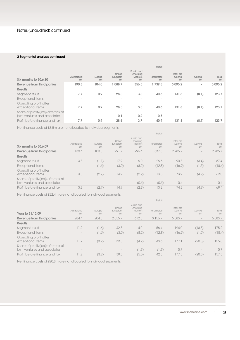#### 2 Segmental analysis continued

|                                                                      |                              |                         |                                |                                                            | Retail                                |                                   |                              |             |
|----------------------------------------------------------------------|------------------------------|-------------------------|--------------------------------|------------------------------------------------------------|---------------------------------------|-----------------------------------|------------------------------|-------------|
| Six months to 30.6.10                                                | Australasia<br>$\mathsf{Sm}$ | Europe<br>$\mathsf{Sm}$ | <b>United</b><br>Kingdom<br>Sm | Russia and<br>Emerging<br><b>Markets</b><br>$\mathfrak{m}$ | <b>Total Retail</b><br>$\mathfrak{m}$ | <b>Total pre</b><br>Central<br>£m | Central<br>$\mathsf{Sm}$     | Total<br>Sm |
| Revenue from third parties                                           | 190.3                        | 104.0                   | 1.088.7                        | 356.5                                                      | 1.739.5                               | 3.095.2                           | $\overline{\phantom{a}}$     | 3.095.2     |
| <b>Results</b>                                                       |                              |                         |                                |                                                            |                                       |                                   |                              |             |
| Segment result                                                       | 7.7                          | 0.9                     | 28.5                           | 3.5                                                        | 40.6                                  | 131.8                             | (8.1)                        | 123.7       |
| <b>Exceptional items</b>                                             | $\overline{\phantom{a}}$     | $\qquad \qquad$         |                                |                                                            |                                       |                                   |                              |             |
| Operating profit after<br>exceptional items                          | 7.7                          | 0.9                     | 28.5                           | 3.5                                                        | 40.6                                  | 131.8                             | (8.1)                        | 123.7       |
| Share of profit/(loss) after tax of<br>joint ventures and associates | -                            | $\qquad \qquad$         | 0.1                            | 0.2                                                        | 0.3                                   | $\overline{\phantom{a}}$          | $\qquad \qquad \blacksquare$ |             |
| Profit before finance and tax                                        | 7.7                          | 0.9                     | 28.6                           | 3.7                                                        | 40.9                                  | 131.8                             | (8.1)                        | 123.7       |

Net finance costs of £8.5m are not allocated to individual segments.

|                   |              |                         |                                                | Retail                    |                            |                   |             |
|-------------------|--------------|-------------------------|------------------------------------------------|---------------------------|----------------------------|-------------------|-------------|
| Australasia<br>£m | Europe<br>Sm | United<br>Kingdom<br>Sm | Russia and<br>Emerging<br><b>Markets</b><br>£m | <b>Total Retail</b><br>£m | Total pre<br>Central<br>£m | Central<br>£m     | Total<br>Sm |
| 139.4             | 109.8        | 991.7                   | 296.4                                          | 1,537,3                   | 2,785.7                    | $\qquad \qquad -$ | 2,785.7     |
|                   |              |                         |                                                |                           |                            |                   |             |
| 3.8               | (1.1)        | 17.9                    | 6.0                                            | 26.6                      | 90.8                       | (3.4)             | 87.4        |
| $\qquad \qquad -$ | (1.6)        | (3.0)                   | (8.2)                                          | (12.8)                    | (16.9)                     | (1.5)             | (18.4)      |
| 3.8               | (2.7)        | 14.9                    | (2.2)                                          | 13.8                      | 73.9                       | (4.9)             | 69.0        |
|                   |              |                         | (0.6)                                          | (0.6)                     | 0.4                        | -                 | 0.4         |
| 3.8               | (2.7)        | 14.9                    | (2.8)                                          | 13.2                      | 74.3                       | (4.9)             | 69.4        |
|                   |              |                         |                                                |                           |                            |                   |             |

Net finance costs of £22.4m are not allocated to individual segments.

|                   |              |                         |                                                | Retail                    |                                   |                                 |             |
|-------------------|--------------|-------------------------|------------------------------------------------|---------------------------|-----------------------------------|---------------------------------|-------------|
| Australasia<br>£m | Europe<br>£m | United<br>Kingdom<br>Sm | Russia and<br>Emerging<br><b>Markets</b><br>£m | <b>Total Retail</b><br>£m | Total pre<br>Central<br><b>Sm</b> | Central<br>£m                   | Total<br>Sm |
| 284.4             | 204.3        | 2,055.7                 | 612.3                                          | 3,156,7                   | 5,583.7                           | $\hspace{0.1mm}-\hspace{0.1mm}$ | 5,583.7     |
|                   |              |                         |                                                |                           |                                   |                                 |             |
| 11.2              | (1.6)        | 42.8                    | 4.0                                            | 56.4                      | 194.0                             | (18.8)                          | 175.2       |
| $\qquad \qquad -$ | (1.6)        | (3.0)                   | (8.2)                                          | (12.8)                    | (16.9)                            | (1.5)                           | (18.4)      |
| 11.2              | (3.2)        | 39.8                    | (4.2)                                          | 43.6                      | 177.1                             | (20.3)                          | 156.8       |
|                   |              |                         | (1.3)                                          | (1.3)                     | 0.7                               | $\qquad \qquad -$               | 0.7         |
| 1.2               | (3.2)        | 39.8                    | (5.5)                                          | 42.3                      | 177.8                             | (20.3)                          | 157.5       |
|                   |              |                         |                                                |                           |                                   |                                 |             |

Net finance costs of £20.8m are not allocated to individual segments.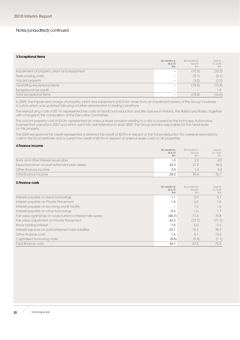| 3 Exceptional items                         |                                           |                                |                           |
|---------------------------------------------|-------------------------------------------|--------------------------------|---------------------------|
|                                             | Six months to<br>30.6.10<br>$\mathsf{Sm}$ | Six months to<br>30.6.09<br>£m | Year to<br>31.12.09<br>£m |
| Impairment of property, plant and equipment | $\sim$                                    | (10.3)                         | (10.3)                    |
| Restructuring costs                         | $\sim$                                    | (5.1)                          | (5.1)                     |
| Vacant property                             | $\sim$                                    | (3.0)                          | (3.0)                     |
| Operating exceptional items                 | $\sim$                                    | (18.4)                         | (18.4)                    |
| Exceptional tax credit                      |                                           |                                | .8                        |
| Total exceptional items                     | $\sim$                                    | (18.4)                         | (16.6)                    |

In 2009, the impairment charge of property, plant and equipment of £10.3m arose from an impairment review of the Group's business in Latvia which was updated following a further deterioration in trading conditions.

The restructuring costs of £5.1m represented the costs of headcount reduction and site closures in Finland, the Baltics and Russia, together with changes in the composition of the Executive Committee.

The vacant property cost of £3.0m represented an onerous lease provision relating to a site occupied by the Inchcape Automotive business that was sold in 2007 and which went into administration in early 2009. The Group remains responsible for the head lease on this property.

The 2009 exceptional tax credit represented a deferred tax credit of £0.9m in respect of the future deduction for overseas redundancy costs in the local territories and a current tax credit of £0.9m in respect of onerous lease costs on UK properties.

#### 4 Finance income

|                                                | Six months to<br>30.6.10<br>$\mathsf{Sm}$ | Six months to<br>30.6.09<br>£m | Year to<br>31.12.09<br>£m |
|------------------------------------------------|-------------------------------------------|--------------------------------|---------------------------|
| Bank and other interest receivable             | 1.9                                       | 22                             | $4.2^{\circ}$             |
| Expected return on post-retirement plan assets | 23.3                                      | 219                            | 44.5                      |
| Other finance income                           | 3.0                                       |                                | 3.4                       |
| Total finance income                           | 28.2                                      | 25.4                           | 52.                       |

#### 5 Finance costs

|                                                              | Six months to<br>30.6.10<br>$\mathsf{Sm}$ | Six months to<br>30.6.09<br>-Sm | Year to<br>31.12.09<br>£m |
|--------------------------------------------------------------|-------------------------------------------|---------------------------------|---------------------------|
| Interest payable on bank borrowings                          | 1.1                                       | 3.0                             | 5.1                       |
| Interest payable on Private Placement                        | 1.6                                       | 6.3                             | 7.8                       |
| Interest payable on revolving credit facility                | $\sim$                                    | 1.6                             | 1.6                       |
| Interest payable on other borrowings                         | 0.3                                       | 1.0                             |                           |
| Fair value (gain)/loss on cross-currency interest rate swaps | (40.7)                                    | 77.6                            | 70.8                      |
| Fair value adjustment on Private Placement                   | 43.2                                      | (73.7)                          | (71.7)                    |
| Stock holding interest                                       | 7.0                                       | 5.0                             | 9.2                       |
| Interest expense on post-retirement plan liabilities         | 23.1                                      | 19.3                            | 38.9                      |
| Other finance costs                                          | 1.6                                       | 8.1                             | 10.6                      |
| Capitalised borrowing costs                                  | (0.5)                                     | (0.4)                           | (1.1)                     |
| Total finance costs                                          | 36.7                                      | 47.8                            | 72.9                      |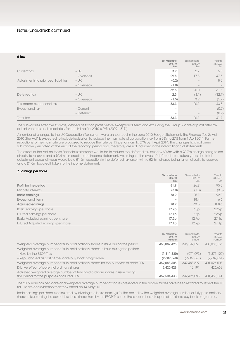#### $6.5$

| <b>O</b> IUX                          |            |                                           |                                |                           |
|---------------------------------------|------------|-------------------------------------------|--------------------------------|---------------------------|
|                                       |            | Six months to<br>30.6.10<br>$\mathsf{Sm}$ | Six months to<br>30.6.09<br>Sm | Year to<br>31.12.09<br>Sm |
| Current tax                           | $- UK$     | 3.9                                       | 2.7                            | 5.8                       |
|                                       | - Overseas | 29.8                                      | 17.3                           | 47.5                      |
| Adjustments to prior year liabilities | $- UK$     | (0.2)                                     |                                | 8.0                       |
|                                       | - Overseas | (1.0)                                     | $\qquad \qquad -$              |                           |
|                                       |            | 32.5                                      | 20.0                           | 61.3                      |
| Deferred tax                          | $- UK$     | 2.3                                       | (3.1)                          | (12.1)                    |
|                                       | - Overseas | (1.5)                                     | 3.2                            | (5.7)                     |
| Tax before exceptional tax            |            | 33.3                                      | 20.1                           | 43.5                      |
| Exceptional tax                       | - Current  | $\qquad \qquad \blacksquare$              |                                | (0.9)                     |
|                                       | - Deferred | $\qquad \qquad \blacksquare$              | $\qquad \qquad -$              | (0.9)                     |
| Total tax                             |            | 33.3                                      | 20.1                           | 41.7                      |

The subsidiaries effective tax rate, defined as tax on profit before exceptional items and excluding the Group's share of profit after tax of joint ventures and associates, for the first half of 2010 is 29% (2009 – 31%).

A number of changes to the UK Corporation Tax system were announced in the June 2010 Budget Statement. The Finance (No 2) Act 2010 (the Act) is expected to include legislation to reduce the main rate of corporation tax from 28% to 27% from 1 April 2011. Further reductions to the main rate are proposed to reduce the rate by 1% per annum to 24% by 1 April 2014. The changes had not been substantively enacted at the end of the reporting period and, therefore, are not included in the interim financial statements.

The effect of the Act on these financial statements would be to reduce the deferred tax asset by £0.3m with a £0.7m charge being taken directly to reserves and a £0.4m tax credit to the income statement. Assuming similar levels of deferred tax in future years, the total adjustment across all years would be a £1.2m reduction in the deferred tax asset, with a £2.8m charge being taken directly to reserves and a £1.6m tax credit taken to the income statement.

#### 7 Earnings per share

|                                     | Six months to<br>30.6.10<br>$\mathsf{Sm}$ | Six months to<br>30.6.09<br>Sm | Year to<br>31.12.09<br>£m |
|-------------------------------------|-------------------------------------------|--------------------------------|---------------------------|
| Profit for the period               | 81.9                                      | 26.9                           | 95.0                      |
| Minority interests                  | (3.0)                                     | (1.8)                          | (3.0)                     |
| <b>Basic earnings</b>               | 78.9                                      | 25.1                           | 92.0                      |
| Exceptional items                   | $\overline{\phantom{a}}$                  | 18.4                           | 16.6                      |
| <b>Adjusted earnings</b>            | 78.9                                      | 43.5                           | 108.6                     |
| Basic earnings per share            | 17.2p                                     | 7.3p                           | 22.9 <sub>p</sub>         |
| Diluted earnings per share          | 17.1p                                     | 7.3p                           | 22.9 <sub>D</sub>         |
| Basic Adjusted earnings per share   | 17.2p                                     | 12.7p                          | 27.1p                     |
| Diluted Adjusted earnings per share | 17.1p                                     | 12.7p                          | 27.1p                     |

|                                                                                                                              | Six months to<br>30.6.10<br>number | Six months to<br>30.6.09<br>number | Year to<br>31.12.09<br>number |
|------------------------------------------------------------------------------------------------------------------------------|------------------------------------|------------------------------------|-------------------------------|
| Weighted average number of fully paid ordinary shares in issue during the period                                             | 463,082,495                        | 346, 142, 551                      | 405,085,186                   |
| Weighted average number of fully paid ordinary shares in issue during the period:                                            |                                    |                                    |                               |
| - Held by the ESOP Trust                                                                                                     | (1,311,330)                        | (971, 093)                         | (1, 371, 122)                 |
| - Repurchased as part of the share buy back programme                                                                        | (2,687,560)                        | (2,687,561)                        | (2,687,561)                   |
| Weighted average number of fully paid ordinary shares for the purposes of basic EPS                                          | 459.083.605                        | 342,483,897                        | 401,026,503                   |
| Dilutive effect of potential ordinary shares                                                                                 | 3,420,828                          | 12,191                             | 426,638                       |
| Adjusted weighted average number of fully paid ordinary shares in issue during<br>the period for the purposes of diluted EPS | 462.504.433                        | 342,496,088                        | 401,453,141                   |

The 2009 earnings per share and weighted average number of shares presented in the above tables have been restated to reflect the 10 for 1 share consolidation that took effect on 14 May 2010.

Basic earnings per share is calculated by dividing the basic earnings for the period by the weighted average number of fully paid ordinary shares in issue during the period, less those shares held by the ESOP Trust and those repurchased as part of the share buy back programme.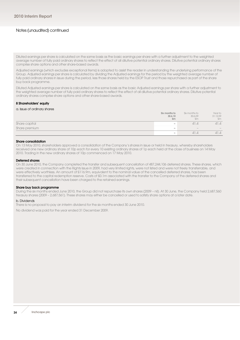Diluted earnings per share is calculated on the same basis as the basic earnings per share with a further adjustment to the weighted average number of fully paid ordinary shares to reflect the effect of all dilutive potential ordinary shares. Dilutive potential ordinary shares comprise share options and other share-based awards.

Adjusted earnings (which excludes exceptional items) is adopted to assist the reader in understanding the underlying performance of the Group. Adjusted earnings per share is calculated by dividing the Adjusted earnings for the period by the weighted average number of fully paid ordinary shares in issue during the period, less those shares held by the ESOP Trust and those repurchased as part of the share buy back programme.

Diluted Adjusted earnings per share is calculated on the same basis as the basic Adjusted earnings per share with a further adjustment to the weighted average number of fully paid ordinary shares to reflect the effect of all dilutive potential ordinary shares. Dilutive potential ordinary shares comprise share options and other share-based awards.

#### 8 Shareholders' equity

#### a. Issue of ordinary shares

|               | Six months to<br>30.6.10<br>$\mathsf{Sm}$ | Six months to<br>30.6.09<br>£m | Year to<br>31.12.09<br>£m |
|---------------|-------------------------------------------|--------------------------------|---------------------------|
| Share capital | $\sim$                                    | 41.4                           | 41.4                      |
| Share premium | $\sim$                                    | $\overline{\phantom{a}}$       | $-$                       |
|               | $\sim$                                    | 4 I A                          | 41.4                      |

#### Share consolidation

On 13 May 2010, shareholders approved a consolidation of the Company's shares in issue or held in treasury, whereby shareholders received one new ordinary share of 10p each for every 10 existing ordinary shares of 1p each held at the close of business on 14 May 2010. Trading in the new ordinary shares of 10p commenced on 17 May 2010.

#### Deferred shares

On 30 June 2010, the Company completed the transfer and subsequent cancellation of 487,244,106 deferred shares. These shares, which were created in connection with the Rights Issue in 2009, had very limited rights, were not listed and were not freely transferrable, and were effectively worthless. An amount of £116.9m, equivalent to the nominal value of the cancelled deferred shares, has been transferred to the capital redemption reserve. Costs of £0.1m associated with the transfer to the Company of the deferred shares and their subsequent cancellation have been charged to the retained earnings.

#### Share buy back programme

During the six months ended June 2010, the Group did not repurchase its own shares (2009 – nil). At 30 June, the Company held 2,687,560 treasury shares (2009 – 2,687,561). These shares may either be cancelled or used to satisfy share options at a later date.

#### b. Dividends

There is no proposal to pay an interim dividend for the six months ended 30 June 2010.

No dividend was paid for the year ended 31 December 2009.

24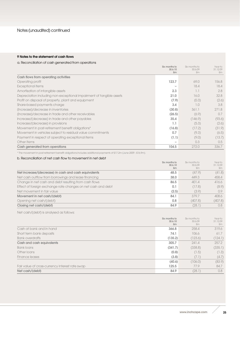#### 9 Notes to the statement of cash flows

| a. Reconciliation of cash generated from operations                  |                          |                          |                     |
|----------------------------------------------------------------------|--------------------------|--------------------------|---------------------|
|                                                                      | Six months to<br>30.6.10 | Six months to<br>30.6.09 | Year to<br>31.12.09 |
|                                                                      | Sm                       | Sm                       | £m                  |
| Cash flows from operating activities                                 |                          |                          |                     |
| Operating profit                                                     | 123.7                    | 69.0                     | 156.8               |
| Exceptional items                                                    |                          | 18.4                     | 18.4                |
| Amortisation of intangible assets                                    | 2.3                      | 1.1                      | 2.8                 |
| Depreciation including non-exceptional impairment of tangible assets | 21.0                     | 16.0                     | 32.8                |
| Profit on disposal of property, plant and equipment                  | (7.9)                    | (0.3)                    | (2.6)               |
| Share-based payments charge                                          | 3.4                      | 1.0                      | 3.8                 |
| (Increase)/decrease in inventories                                   | (30.8)                   | 361.1                    | 271.8               |
| (Increase)/decrease in trade and other receivables                   | (26.5)                   | (6.9)                    | 0.7                 |
| Increase/(decrease) in trade and other payables                      | 35.4                     | (146.9)                  | (93.6)              |
| Increase/(decrease) in provisions                                    | 1.1                      | (5.3)                    | (2.6)               |
| Movement in post-retirement benefit obligations*                     | (16.8)                   | (17.2)                   | (31.9)              |
| Movement in vehicles subject to residual value commitments           | 0.7                      | (9.3)                    | (6.5)               |
| Payment in respect of operating exceptional items                    | (1.1)                    | (9.0)                    | (13.7)              |
| Other items                                                          | -                        | 0.3                      | 0.5                 |
| Cash generated from operations                                       | 104.5                    | 272.0                    | 336.7               |

\* The movement in post-retirement benefit obligations includes additional payments of £17.2m (June 2009 - £16.9m).

#### b. Reconciliation of net cash flow to movement in net debt

|                                                              | Six months to | Six months to | Year to  |
|--------------------------------------------------------------|---------------|---------------|----------|
|                                                              | 30.6.10       | 30.6.09       | 31.12.09 |
|                                                              | $\mathsf{Sm}$ | -Sm           | £m       |
| Net increase/(decrease) in cash and cash equivalents         | 48.5          | (47.9)        | (41.8)   |
| Net cash outflow from borrowings and lease financing         | 38.0          | 449.3         | 458.4    |
| Change in net cash and debt resulting from cash flows        | 86.5          | 401.4         | 416.6    |
| Effect of foreign exchange rate changes on net cash and debt | 0.1           | (17.8)        | (8.9)    |
| Net movement in fair value                                   | (2.5)         | (3.9)         | 0.9      |
| Movement in net cash/(debt)                                  | 84.1          | 379.7         | 408.6    |
| Opening net cash/(debt)                                      | 0.8           | (407.8)       | (407.8)  |
| Closing net cash/(debt)                                      | 84.9          | (28.1)        | 0.8      |

Net cash/(debt) is analysed as follows:

|                                                 | Six months to<br>30.6.10<br>Sm | Six months to<br>30.6.09<br>Sm | Year to<br>31.12.09<br>Sm |
|-------------------------------------------------|--------------------------------|--------------------------------|---------------------------|
| Cash at bank and in hand                        | 366.8                          | 258.4                          | 319.6                     |
| Short term bank deposits                        | 74.1                           | 106.6                          | 61.7                      |
| Bank overdrafts                                 | (135.2)                        | (123.6)                        | (124.1)                   |
| Cash and cash equivalents                       | 305.7                          | 241.4                          | 257.2                     |
| Bank loans                                      | (341.7)                        | (338.8)                        | (335.1)                   |
| Other loans                                     | (0.8)                          | (1.5)                          | (1.3)                     |
| Finance leases                                  | (3.8)                          | (7.1)                          | (4.7)                     |
|                                                 | (40.6)                         | (106.0)                        | (83.9)                    |
| Fair value of cross-currency interest rate swap | 125.5                          | 77.9                           | 84.7                      |
| Net cash/(debt)                                 | 84.9                           | (28.1)                         | 0.8                       |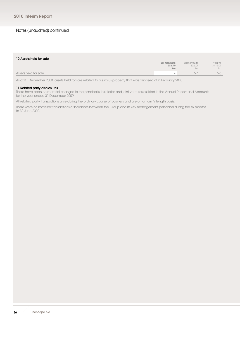| 10 Assets held for sale |                          |               |                |
|-------------------------|--------------------------|---------------|----------------|
|                         | Six months to            | Six months to | Year to        |
|                         | 30.6.10<br>$\mathsf{Sm}$ | 30.6.09<br>£m | 31.12.09<br>£m |
| Assets held for sale    | $\sim$                   | 5.4           | O.C            |

As at 31 December 2009, assets held for sale related to a surplus property that was disposed of in February 2010.

#### 11 Related party disclosures

There have been no material changes to the principal subsidiaries and joint ventures as listed in the Annual Report and Accounts for the year ended 31 December 2009.

All related party transactions arise during the ordinary course of business and are on an arm's length basis.

There were no material transactions or balances between the Group and its key management personnel during the six months to 30 June 2010.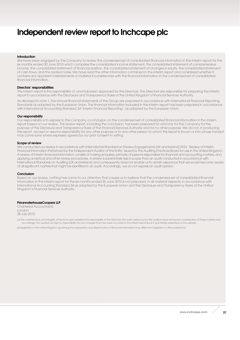### Independent review report to Inchcape plc

#### **Introduction**

We have been engaged by the Company to review the condensed set of consolidated financial information in the interim report for the six months ended 30 June 2010 which comprises the consolidated income statement, the consolidated statement of comprehensive income, the consolidated statement of financial position, the consolidated statement of changes in equity, the consolidated statement of cash flows, and the related notes. We have read the other information contained in the interim report and considered whether it contains any apparent misstatements or material inconsistencies with the financial information in the condensed set of consolidated financial information.

#### Directors' responsibilities

The interim report is the responsibility of, and has been approved by the Directors. The Directors are responsible for preparing the interim report in accordance with the Disclosure and Transparency Rules of the United Kingdom's Financial Services Authority.

As disclosed in note 1, the annual financial statements of the Group are prepared in accordance with International Financial Reporting Standards as adopted by the European Union. The financial information included in this interim report has been prepared in accordance with International Accounting Standard 34 'Interim Financial Reporting', as adopted by the European Union.

#### Our responsibility

Our responsibility is to express to the Company a conclusion on the condensed set of consolidated financial information in the interim report based on our review. This review report, including the conclusion, has been prepared for and only for the Company for the purpose of the Disclosure and Transparency Rules of the Financial Services Authority and for no other purpose. We do not, in producing this report, accept or assume responsibility for any other purpose or to any other person to whom this report is shown or into whose hands it may come save where expressly agreed by our prior consent in writing.

#### Scope of review

We conducted our review in accordance with International Standard on Review Engagements (UK and Ireland) 2410, 'Review of Interim Financial Information Performed by the Independent Auditor of the Entity' issued by the Auditing Practices Board for use in the United Kingdom. A review of interim financial information consists of making enquiries, primarily of persons responsible for financial and accounting matters, and applying analytical and other review procedures. A review is substantially less in scope than an audit conducted in accordance with International Standards on Auditing (UK and Ireland) and consequently does not enable us to obtain assurance that we would become aware of all significant matters that might be identified in an audit. Accordingly, we do not express an audit opinion.

#### **Conclusion**

Based on our review, nothing has come to our attention that causes us to believe that the condensed set of consolidated financial information in the interim report for the six months ended 30 June 2010 is not prepared, in all material respects, in accordance with International Accounting Standard 34 as adopted by the European Union and the Disclosure and Transparency Rules of the United Kingdom's Financial Services Authority.

#### PricewaterhouseCoopers LLP

Chartered Accountants London 28 July 2010

(a) The maintenance and integrity of the Inchcape website is the responsibility of the Directors; the work carried out by the auditors does not involve consideration of these matters and, accordingly, the auditors accept no responsibility for any changes that may have occurred to the interim report since it was initially presented on the website.

(b) Legislation in the United Kingdom governing the preparation and dissemination of financial information may differ from legislation in other jurisdictions.